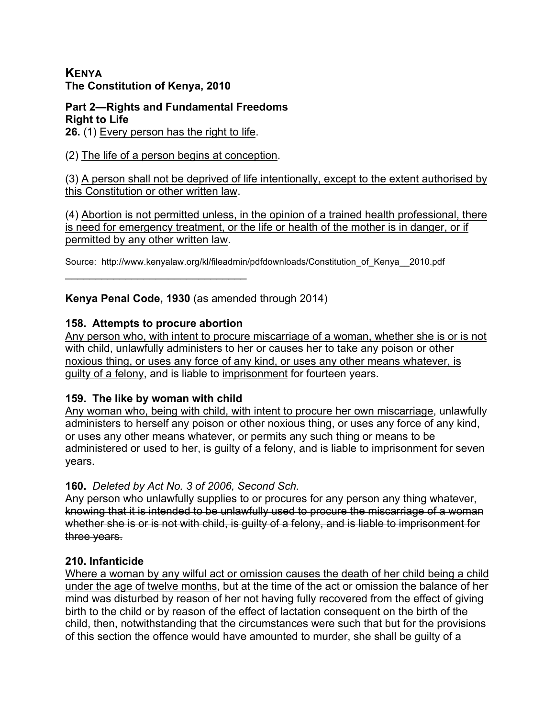## **KENYA The Constitution of Kenya, 2010**

#### **Part 2—Rights and Fundamental Freedoms Right to Life**

**26.** (1) Every person has the right to life.

(2) The life of a person begins at conception.

(3) A person shall not be deprived of life intentionally, except to the extent authorised by this Constitution or other written law.

(4) Abortion is not permitted unless, in the opinion of a trained health professional, there is need for emergency treatment, or the life or health of the mother is in danger, or if permitted by any other written law.

Source: http://www.kenyalaw.org/kl/fileadmin/pdfdownloads/Constitution\_of\_Kenya\_\_2010.pdf

# **Kenya Penal Code, 1930** (as amended through 2014)

## **158. Attempts to procure abortion**

 $\mathcal{L}=\{1,2,3,4,5\}$ 

Any person who, with intent to procure miscarriage of a woman, whether she is or is not with child, unlawfully administers to her or causes her to take any poison or other noxious thing, or uses any force of any kind, or uses any other means whatever, is guilty of a felony, and is liable to imprisonment for fourteen years.

## **159. The like by woman with child**

Any woman who, being with child, with intent to procure her own miscarriage, unlawfully administers to herself any poison or other noxious thing, or uses any force of any kind, or uses any other means whatever, or permits any such thing or means to be administered or used to her, is guilty of a felony, and is liable to imprisonment for seven years.

## **160.** *Deleted by Act No. 3 of 2006, Second Sch.*

Any person who unlawfully supplies to or procures for any person any thing whatever, knowing that it is intended to be unlawfully used to procure the miscarriage of a woman whether she is or is not with child, is guilty of a felony, and is liable to imprisonment for three years.

# **210. Infanticide**

Where a woman by any wilful act or omission causes the death of her child being a child under the age of twelve months, but at the time of the act or omission the balance of her mind was disturbed by reason of her not having fully recovered from the effect of giving birth to the child or by reason of the effect of lactation consequent on the birth of the child, then, notwithstanding that the circumstances were such that but for the provisions of this section the offence would have amounted to murder, she shall be guilty of a